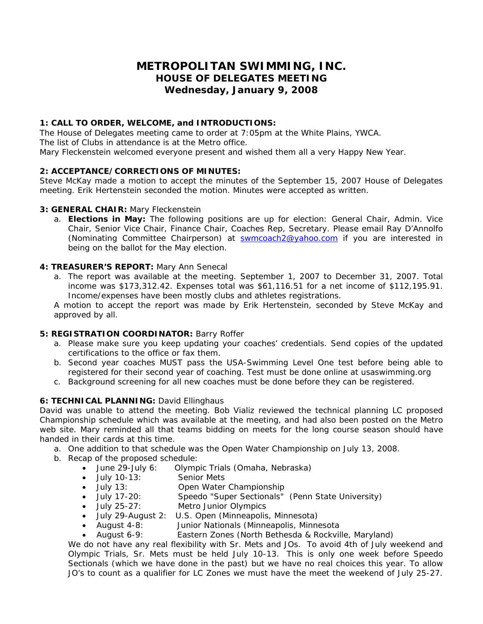### **METROPOLITAN SWIMMING, INC. HOUSE OF DELEGATES MEETING Wednesday, January 9, 2008**

#### **1: CALL TO ORDER, WELCOME, and INTRODUCTIONS:**

The House of Delegates meeting came to order at 7:05pm at the White Plains, YWCA. The list of Clubs in attendance is at the Metro office. Mary Fleckenstein welcomed everyone present and wished them all a very Happy New Year.

#### **2: ACCEPTANCE/CORRECTIONS OF MINUTES:**

Steve McKay made a motion to accept the minutes of the September 15, 2007 House of Delegates meeting. Erik Hertenstein seconded the motion. Minutes were accepted as written.

#### **3: GENERAL CHAIR:** Mary Fleckenstein

a. **Elections in May:** The following positions are up for election: General Chair, Admin. Vice Chair, Senior Vice Chair, Finance Chair, Coaches Rep, Secretary. Please email Ray D'Annolfo (Nominating Committee Chairperson) at **[swmcoach2@yahoo.com](mailto:swmcoach2@yahoo.com)** if you are interested in being on the ballot for the May election.

#### **4: TREASURER'S REPORT:** Mary Ann Senecal

a. The report was available at the meeting. September 1, 2007 to December 31, 2007. Total income was \$173,312.42. Expenses total was \$61,116.51 for a net income of \$112,195.91. Income/expenses have been mostly clubs and athletes registrations.

A motion to accept the report was made by Erik Hertenstein, seconded by Steve McKay and approved by all.

#### **5: REGISTRATION COORDINATOR:** Barry Roffer

- a. Please make sure you keep updating your coaches' credentials. Send copies of the updated certifications to the office or fax them.
- b. Second year coaches MUST pass the USA-Swimming Level One test before being able to registered for their second year of coaching. Test must be done online at usaswimming.org
- c. Background screening for all new coaches must be done before they can be registered.

#### **6: TECHNICAL PLANNING:** David Ellinghaus

David was unable to attend the meeting. Bob Vializ reviewed the technical planning LC proposed Championship schedule which was available at the meeting, and had also been posted on the Metro web site. Mary reminded all that teams bidding on meets for the long course season should have handed in their cards at this time.

- a. One addition to that schedule was the Open Water Championship on July 13, 2008.
- b. Recap of the proposed schedule:
	- June 29-July 6: Olympic Trials (Omaha, Nebraska)
	- July 10-13: Senior Mets
	- July 13: Open Water Championship
	- July 17-20: Speedo "Super Sectionals" (Penn State University)
	- July 25-27: Metro Junior Olympics
	- July 29-August 2: U.S. Open (Minneapolis, Minnesota)
	- August 4-8: Junior Nationals (Minneapolis, Minnesota
	- August 6-9: Eastern Zones (North Bethesda & Rockville, Maryland)

We do not have any real flexibility with Sr. Mets and JOs. To avoid 4th of July weekend and Olympic Trials, Sr. Mets must be held July 10-13. This is only one week before Speedo Sectionals (which we have done in the past) but we have no real choices this year. To allow JO's to count as a qualifier for LC Zones we must have the meet the weekend of July 25-27.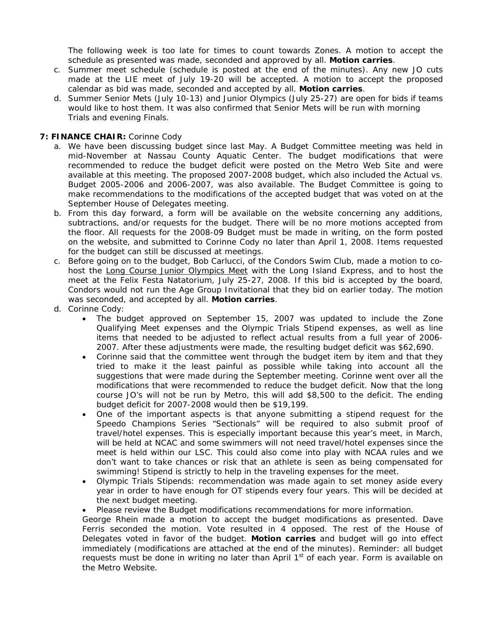The following week is too late for times to count towards Zones. A motion to accept the schedule as presented was made, seconded and approved by all. **Motion carries**.

- c. Summer meet schedule (schedule is posted at the end of the minutes). Any new JO cuts made at the LIE meet of July 19-20 will be accepted. A motion to accept the proposed calendar as bid was made, seconded and accepted by all. **Motion carries**.
- d. Summer Senior Mets (July 10-13) and Junior Olympics (July 25-27) are open for bids if teams would like to host them. It was also confirmed that Senior Mets will be run with morning Trials and evening Finals.

#### **7: FINANCE CHAIR:** Corinne Cody

- a. We have been discussing budget since last May. A Budget Committee meeting was held in mid-November at Nassau County Aquatic Center. The budget modifications that were recommended to reduce the budget deficit were posted on the Metro Web Site and were available at this meeting. The proposed 2007-2008 budget, which also included the Actual vs. Budget 2005-2006 and 2006-2007, was also available. The Budget Committee is going to make recommendations to the modifications of the accepted budget that was voted on at the September House of Delegates meeting.
- b. From this day forward, a form will be available on the website concerning any additions, subtractions, and/or requests for the budget. There will be no more motions accepted from the floor. All requests for the 2008-09 Budget must be made in writing, on the form posted on the website, and submitted to Corinne Cody no later than April 1, 2008. Items requested for the budget can still be discussed at meetings.
- c. Before going on to the budget, Bob Carlucci, of the Condors Swim Club, made a motion to cohost the Long Course Junior Olympics Meet with the Long Island Express, and to host the meet at the Felix Festa Natatorium, July 25-27, 2008. If this bid is accepted by the board, Condors would not run the Age Group Invitational that they bid on earlier today. The motion was seconded, and accepted by all. **Motion carries**.
- d. Corinne Cody:
	- The budget approved on September 15, 2007 was updated to include the Zone Qualifying Meet expenses and the Olympic Trials Stipend expenses, as well as line items that needed to be adjusted to reflect actual results from a full year of 2006- 2007. After these adjustments were made, the resulting budget deficit was \$62,690.
	- Corinne said that the committee went through the budget item by item and that they tried to make it the least painful as possible while taking into account all the suggestions that were made during the September meeting. Corinne went over all the modifications that were recommended to reduce the budget deficit. Now that the long course JO's will not be run by Metro, this will add \$8,500 to the deficit. The ending budget deficit for 2007-2008 would then be \$19,199.
	- One of the important aspects is that anyone submitting a stipend request for the Speedo Champions Series "Sectionals" will be required to also submit proof of travel/hotel expenses. This is especially important because this year's meet, in March, will be held at NCAC and some swimmers will not need travel/hotel expenses since the meet is held within our LSC. This could also come into play with NCAA rules and we don't want to take chances or risk that an athlete is seen as being compensated for swimming! Stipend is strictly to help in the traveling expenses for the meet.
	- Olympic Trials Stipends: recommendation was made again to set money aside every year in order to have enough for OT stipends every four years. This will be decided at the next budget meeting.

• Please review the Budget modifications recommendations for more information.

George Rhein made a motion to accept the budget modifications as presented. Dave Ferris seconded the motion. Vote resulted in 4 opposed. The rest of the House of Delegates voted in favor of the budget. **Motion carries** and budget will go into effect immediately (modifications are attached at the end of the minutes). Reminder: all budget requests must be done in writing no later than April  $1<sup>st</sup>$  of each year. Form is available on the Metro Website.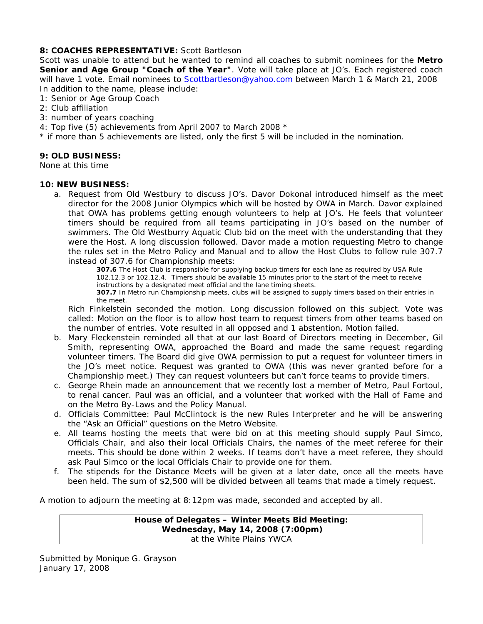#### **8: COACHES REPRESENTATIVE:** Scott Bartleson

Scott was unable to attend but he wanted to remind all coaches to submit nominees for the **Metro Senior and Age Group "Coach of the Year"**. Vote will take place at JO's. Each registered coach will have 1 vote. Email nominees to [Scottbartleson@yahoo.com](mailto:Scottbartleson@yahoo.com) between March 1 & March 21, 2008 In addition to the name, please include:

- 1: Senior or Age Group Coach
- 2: Club affiliation
- 3: number of years coaching
- 4: Top five (5) achievements from April 2007 to March 2008 \*
- \* if more than 5 achievements are listed, only the first 5 will be included in the nomination.

#### **9: OLD BUSINESS:**

None at this time

#### **10: NEW BUSINESS:**

a. Request from Old Westbury to discuss JO's. Davor Dokonal introduced himself as the meet director for the 2008 Junior Olympics which will be hosted by OWA in March. Davor explained that OWA has problems getting enough volunteers to help at JO's. He feels that volunteer timers should be required from all teams participating in JO's based on the number of swimmers. The Old Westburry Aquatic Club bid on the meet with the understanding that they were the Host. A long discussion followed. Davor made a motion requesting Metro to change the rules set in the Metro Policy and Manual and to allow the Host Clubs to follow rule 307.7 instead of 307.6 for Championship meets:

**307.6** The Host Club is responsible for supplying backup timers for each lane as required by USA Rule 102.12.3 or 102.12.4. Timers should be available 15 minutes prior to the start of the meet to receive instructions by a designated meet official and the lane timing sheets.

**307.7** In Metro run Championship meets, clubs will be assigned to supply timers based on their entries in the meet.

Rich Finkelstein seconded the motion. Long discussion followed on this subject. Vote was called: Motion on the floor is to allow host team to request timers from other teams based on the number of entries. Vote resulted in all opposed and 1 abstention. Motion failed.

- b. Mary Fleckenstein reminded all that at our last Board of Directors meeting in December, Gil Smith, representing OWA, approached the Board and made the same request regarding volunteer timers. The Board did give OWA permission to put a request for volunteer timers in the JO's meet notice. Request was granted to OWA (this was never granted before for a Championship meet.) They can request volunteers but can't force teams to provide timers.
- c. George Rhein made an announcement that we recently lost a member of Metro, Paul Fortoul, to renal cancer. Paul was an official, and a volunteer that worked with the Hall of Fame and on the Metro By-Laws and the Policy Manual.
- d. Officials Committee: Paul McClintock is the new Rules Interpreter and he will be answering the "Ask an Official" questions on the Metro Website.
- e. All teams hosting the meets that were bid on at this meeting should supply Paul Simco, Officials Chair, and also their local Officials Chairs, the names of the meet referee for their meets. This should be done within 2 weeks. If teams don't have a meet referee, they should ask Paul Simco or the local Officials Chair to provide one for them.
- f. The stipends for the Distance Meets will be given at a later date, once all the meets have been held. The sum of \$2,500 will be divided between all teams that made a timely request.

A motion to adjourn the meeting at 8:12pm was made, seconded and accepted by all.

#### **House of Delegates – Winter Meets Bid Meeting: Wednesday, May 14, 2008 (7:00pm)**  at the White Plains YWCA

Submitted by Monique G. Grayson January 17, 2008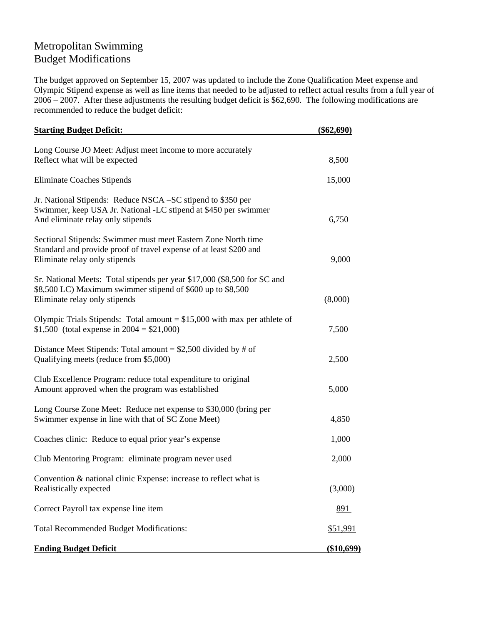## Metropolitan Swimming Budget Modifications

The budget approved on September 15, 2007 was updated to include the Zone Qualification Meet expense and Olympic Stipend expense as well as line items that needed to be adjusted to reflect actual results from a full year of 2006 – 2007. After these adjustments the resulting budget deficit is \$62,690. The following modifications are recommended to reduce the budget deficit:

| <b>Starting Budget Deficit:</b>                                                                                                                                         | $(\$62,690)$    |
|-------------------------------------------------------------------------------------------------------------------------------------------------------------------------|-----------------|
| Long Course JO Meet: Adjust meet income to more accurately<br>Reflect what will be expected                                                                             | 8,500           |
| <b>Eliminate Coaches Stipends</b>                                                                                                                                       | 15,000          |
| Jr. National Stipends: Reduce NSCA – SC stipend to \$350 per<br>Swimmer, keep USA Jr. National -LC stipend at \$450 per swimmer<br>And eliminate relay only stipends    | 6,750           |
| Sectional Stipends: Swimmer must meet Eastern Zone North time<br>Standard and provide proof of travel expense of at least \$200 and<br>Eliminate relay only stipends    | 9,000           |
| Sr. National Meets: Total stipends per year \$17,000 (\$8,500 for SC and<br>\$8,500 LC) Maximum swimmer stipend of \$600 up to \$8,500<br>Eliminate relay only stipends | (8,000)         |
| Olympic Trials Stipends: Total amount = $$15,000$ with max per athlete of<br>\$1,500 (total expense in $2004 = $21,000$ )                                               | 7,500           |
| Distance Meet Stipends: Total amount = $$2,500$ divided by # of<br>Qualifying meets (reduce from \$5,000)                                                               | 2,500           |
| Club Excellence Program: reduce total expenditure to original<br>Amount approved when the program was established                                                       | 5,000           |
| Long Course Zone Meet: Reduce net expense to \$30,000 (bring per<br>Swimmer expense in line with that of SC Zone Meet)                                                  | 4,850           |
| Coaches clinic: Reduce to equal prior year's expense                                                                                                                    | 1,000           |
| Club Mentoring Program: eliminate program never used                                                                                                                    | 2,000           |
| Convention & national clinic Expense: increase to reflect what is<br>Realistically expected                                                                             | (3,000)         |
| Correct Payroll tax expense line item                                                                                                                                   | <u>891</u>      |
| <b>Total Recommended Budget Modifications:</b>                                                                                                                          | <u>\$51,991</u> |
| <b>Ending Budget Deficit</b>                                                                                                                                            | (\$10,699)      |